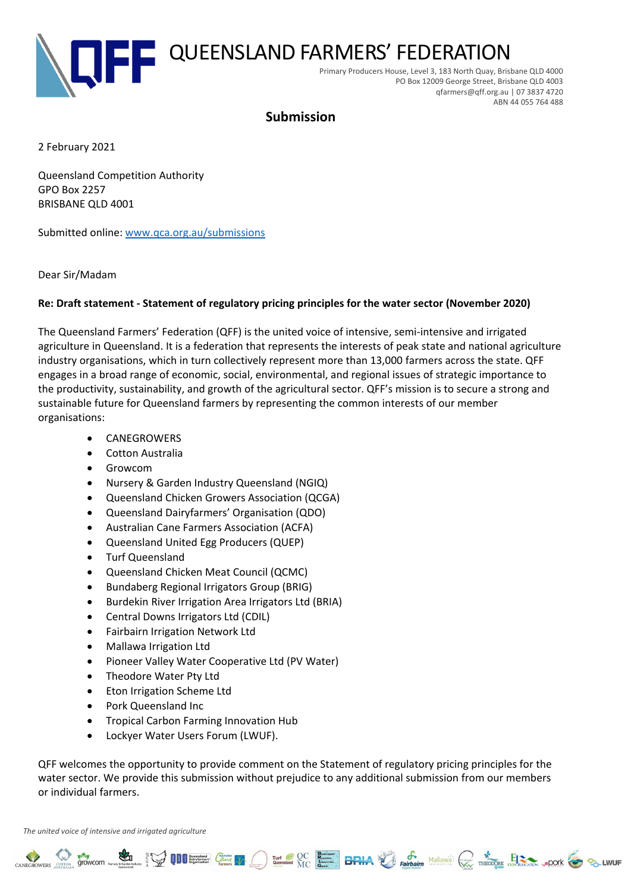

# **Submission**

2 February 2021

Queensland Competition Authority GPO Box 2257 BRISBANE QLD 4001

Submitted online: [www.qca.org.au/submissions](http://www.qca.org.au/submissions)

Dear Sir/Madam

#### **Re: Draft statement - Statement of regulatory pricing principles for the water sector (November 2020)**

The Queensland Farmers' Federation (QFF) is the united voice of intensive, semi-intensive and irrigated agriculture in Queensland. It is a federation that represents the interests of peak state and national agriculture industry organisations, which in turn collectively represent more than 13,000 farmers across the state. QFF engages in a broad range of economic, social, environmental, and regional issues of strategic importance to the productivity, sustainability, and growth of the agricultural sector. QFF's mission is to secure a strong and sustainable future for Queensland farmers by representing the common interests of our member organisations:

- CANEGROWERS
- Cotton Australia
- Growcom
- Nursery & Garden Industry Queensland (NGIQ)
- Queensland Chicken Growers Association (QCGA)
- Queensland Dairyfarmers' Organisation (QDO)
- Australian Cane Farmers Association (ACFA)
- Queensland United Egg Producers (QUEP)
- Turf Queensland
- Queensland Chicken Meat Council (QCMC)
- Bundaberg Regional Irrigators Group (BRIG)
- Burdekin River Irrigation Area Irrigators Ltd (BRIA)
- Central Downs Irrigators Ltd (CDIL)
- Fairbairn Irrigation Network Ltd
- Mallawa Irrigation Ltd
- Pioneer Valley Water Cooperative Ltd (PV Water)
- Theodore Water Pty Ltd
- Eton Irrigation Scheme Ltd
- Pork Queensland Inc
- Tropical Carbon Farming Innovation Hub
- Lockyer Water Users Forum (LWUF).

QFF welcomes the opportunity to provide comment on the Statement of regulatory pricing principles for the water sector. We provide this submission without prejudice to any additional submission from our members or individual farmers.

**A SEARCH COME OF THE COME OF THE COME OF THE SUBJECT OF THE COME OF THE COME OF THE COME OF THE COME OF THE COME OF THE COME OF THE COME OF THE COME OF THE COME OF THE COME OF THE COME OF THE COME OF THE COME OF THE COME** 

*The united voice of intensive and irrigated agriculture*

 $\sum_{\infty}^{\infty}$  growcom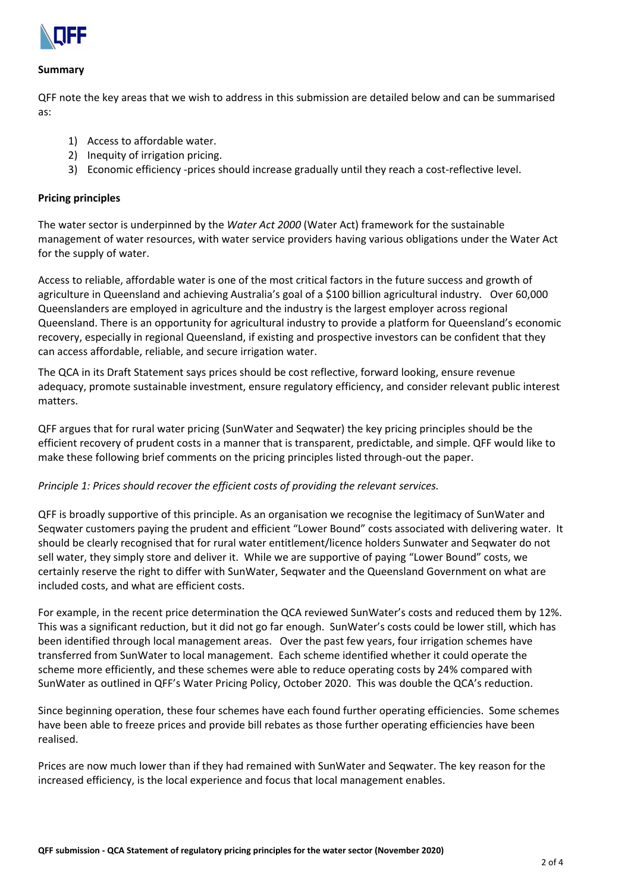

#### **Summary**

QFF note the key areas that we wish to address in this submission are detailed below and can be summarised as:

- 1) Access to affordable water.
- 2) Inequity of irrigation pricing.
- 3) Economic efficiency -prices should increase gradually until they reach a cost-reflective level.

#### **Pricing principles**

The water sector is underpinned by the *Water Act 2000* (Water Act) framework for the sustainable management of water resources, with water service providers having various obligations under the Water Act for the supply of water.

Access to reliable, affordable water is one of the most critical factors in the future success and growth of agriculture in Queensland and achieving Australia's goal of a \$100 billion agricultural industry. Over 60,000 Queenslanders are employed in agriculture and the industry is the largest employer across regional Queensland. There is an opportunity for agricultural industry to provide a platform for Queensland's economic recovery, especially in regional Queensland, if existing and prospective investors can be confident that they can access affordable, reliable, and secure irrigation water.

The QCA in its Draft Statement says prices should be cost reflective, forward looking, ensure revenue adequacy, promote sustainable investment, ensure regulatory efficiency, and consider relevant public interest matters.

QFF argues that for rural water pricing (SunWater and Seqwater) the key pricing principles should be the efficient recovery of prudent costs in a manner that is transparent, predictable, and simple. QFF would like to make these following brief comments on the pricing principles listed through-out the paper.

#### *Principle 1: Prices should recover the efficient costs of providing the relevant services.*

QFF is broadly supportive of this principle. As an organisation we recognise the legitimacy of SunWater and Seqwater customers paying the prudent and efficient "Lower Bound" costs associated with delivering water. It should be clearly recognised that for rural water entitlement/licence holders Sunwater and Seqwater do not sell water, they simply store and deliver it. While we are supportive of paying "Lower Bound" costs, we certainly reserve the right to differ with SunWater, Seqwater and the Queensland Government on what are included costs, and what are efficient costs.

For example, in the recent price determination the QCA reviewed SunWater's costs and reduced them by 12%. This was a significant reduction, but it did not go far enough. SunWater's costs could be lower still, which has been identified through local management areas. Over the past few years, four irrigation schemes have transferred from SunWater to local management. Each scheme identified whether it could operate the scheme more efficiently, and these schemes were able to reduce operating costs by 24% compared with SunWater as outlined in QFF's Water Pricing Policy, October 2020. This was double the QCA's reduction.

Since beginning operation, these four schemes have each found further operating efficiencies. Some schemes have been able to freeze prices and provide bill rebates as those further operating efficiencies have been realised.

Prices are now much lower than if they had remained with SunWater and Seqwater. The key reason for the increased efficiency, is the local experience and focus that local management enables.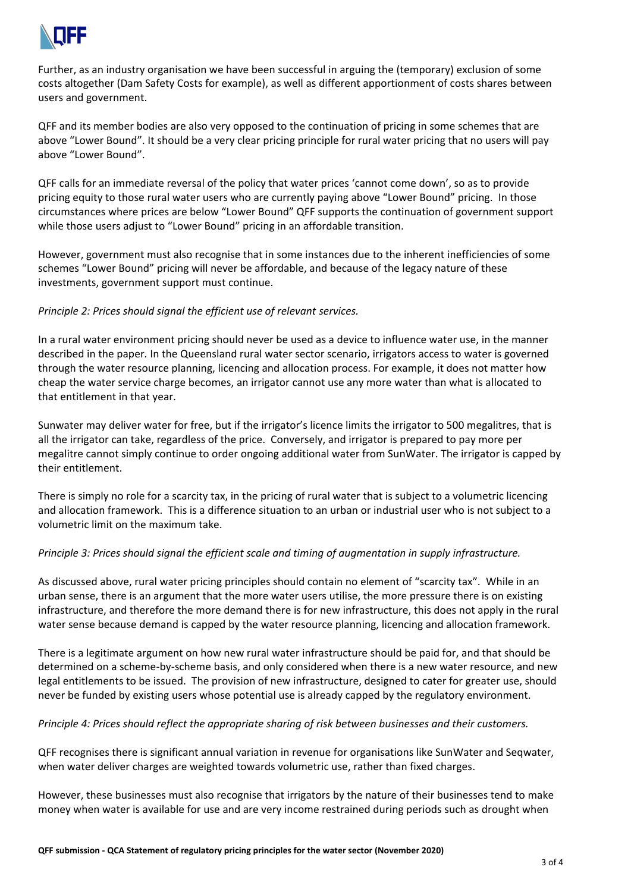

Further, as an industry organisation we have been successful in arguing the (temporary) exclusion of some costs altogether (Dam Safety Costs for example), as well as different apportionment of costs shares between users and government.

QFF and its member bodies are also very opposed to the continuation of pricing in some schemes that are above "Lower Bound". It should be a very clear pricing principle for rural water pricing that no users will pay above "Lower Bound".

QFF calls for an immediate reversal of the policy that water prices 'cannot come down', so as to provide pricing equity to those rural water users who are currently paying above "Lower Bound" pricing. In those circumstances where prices are below "Lower Bound" QFF supports the continuation of government support while those users adjust to "Lower Bound" pricing in an affordable transition.

However, government must also recognise that in some instances due to the inherent inefficiencies of some schemes "Lower Bound" pricing will never be affordable, and because of the legacy nature of these investments, government support must continue.

## *Principle 2: Prices should signal the efficient use of relevant services.*

In a rural water environment pricing should never be used as a device to influence water use, in the manner described in the paper*.* In the Queensland rural water sector scenario, irrigators access to water is governed through the water resource planning, licencing and allocation process. For example, it does not matter how cheap the water service charge becomes, an irrigator cannot use any more water than what is allocated to that entitlement in that year.

Sunwater may deliver water for free, but if the irrigator's licence limits the irrigator to 500 megalitres, that is all the irrigator can take, regardless of the price. Conversely, and irrigator is prepared to pay more per megalitre cannot simply continue to order ongoing additional water from SunWater. The irrigator is capped by their entitlement.

There is simply no role for a scarcity tax, in the pricing of rural water that is subject to a volumetric licencing and allocation framework. This is a difference situation to an urban or industrial user who is not subject to a volumetric limit on the maximum take.

#### *Principle 3: Prices should signal the efficient scale and timing of augmentation in supply infrastructure.*

As discussed above, rural water pricing principles should contain no element of "scarcity tax". While in an urban sense, there is an argument that the more water users utilise, the more pressure there is on existing infrastructure, and therefore the more demand there is for new infrastructure, this does not apply in the rural water sense because demand is capped by the water resource planning, licencing and allocation framework.

There is a legitimate argument on how new rural water infrastructure should be paid for, and that should be determined on a scheme-by-scheme basis, and only considered when there is a new water resource, and new legal entitlements to be issued. The provision of new infrastructure, designed to cater for greater use, should never be funded by existing users whose potential use is already capped by the regulatory environment.

#### *Principle 4: Prices should reflect the appropriate sharing of risk between businesses and their customers.*

QFF recognises there is significant annual variation in revenue for organisations like SunWater and Seqwater, when water deliver charges are weighted towards volumetric use, rather than fixed charges.

However, these businesses must also recognise that irrigators by the nature of their businesses tend to make money when water is available for use and are very income restrained during periods such as drought when